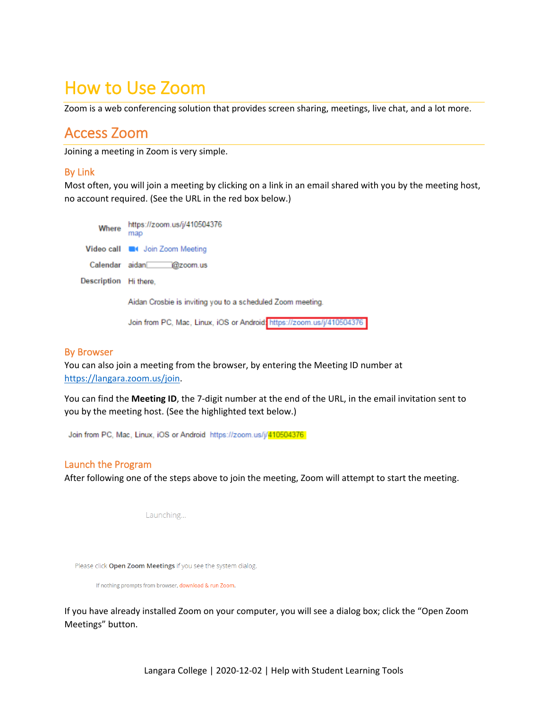# How to Use Zoom

Zoom is a web conferencing solution that provides screen sharing, meetings, live chat, and a lot more.

## Access Zoom

Joining a meeting in Zoom is very simple.

## By Link

Most often, you will join a meeting by clicking on a link in an email shared with you by the meeting host, no account required. (See the URL in the red box below.)

https://zoom.us/j/410504376 Where map Video call **Com** Join Zoom Meeting Calendar aidan @zoom.us Description Hi there, Aidan Crosbie is inviting you to a scheduled Zoom meeting.

Join from PC, Mac, Linux, iOS or Android: https://zoom.us/j/410504376

## By Browser

You can also join a meeting from the browser, by entering the Meeting ID number at [https://langara.zoom.us/join.](https://langara.zoom.us/join)

You can find the **Meeting ID**, the 7-digit number at the end of the URL, in the email invitation sent to you by the meeting host. (See the highlighted text below.)

Join from PC, Mac, Linux, iOS or Android: https://zoom.us/j/410504376

## Launch the Program

After following one of the steps above to join the meeting, Zoom will attempt to start the meeting.

Launching...

Please click Open Zoom Meetings if you see the system dialog.

If nothing prompts from browser, download & run Zoom.

If you have already installed Zoom on your computer, you will see a dialog box; click the "Open Zoom Meetings" button.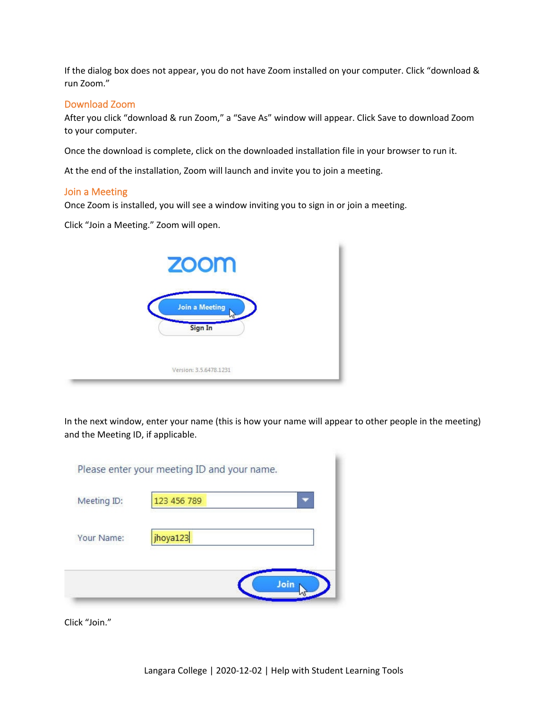If the dialog box does not appear, you do not have Zoom installed on your computer. Click "download & run Zoom."

### Download Zoom

After you click "download & run Zoom," a "Save As" window will appear. Click Save to download Zoom to your computer.

Once the download is complete, click on the downloaded installation file in your browser to run it.

At the end of the installation, Zoom will launch and invite you to join a meeting.

#### Join a Meeting

Once Zoom is installed, you will see a window inviting you to sign in or join a meeting.

Click "Join a Meeting." Zoom will open.



In the next window, enter your name (this is how your name will appear to other people in the meeting) and the Meeting ID, if applicable.

| Meeting ID: | 123 456 789 |  |
|-------------|-------------|--|
|             |             |  |
| Your Name:  | jhoya123    |  |
|             |             |  |

Click "Join."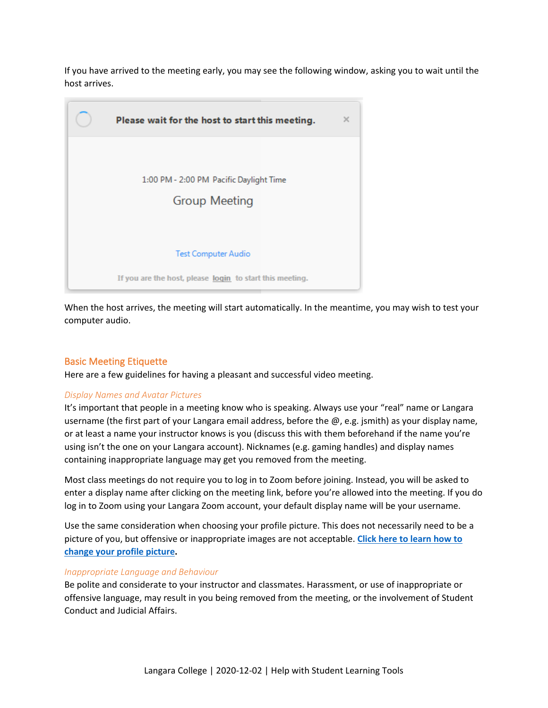If you have arrived to the meeting early, you may see the following window, asking you to wait until the host arrives.



When the host arrives, the meeting will start automatically. In the meantime, you may wish to test your computer audio.

## Basic Meeting Etiquette

Here are a few guidelines for having a pleasant and successful video meeting.

### *Display Names and Avatar Pictures*

It's important that people in a meeting know who is speaking. Always use your "real" name or Langara username (the first part of your Langara email address, before the  $\omega$ , e.g. jsmith) as your display name, or at least a name your instructor knows is you (discuss this with them beforehand if the name you're using isn't the one on your Langara account). Nicknames (e.g. gaming handles) and display names containing inappropriate language may get you removed from the meeting.

Most class meetings do not require you to log in to Zoom before joining. Instead, you will be asked to enter a display name after clicking on the meeting link, before you're allowed into the meeting. If you do log in to Zoom using your Langara Zoom account, your default display name will be your username.

Use the same consideration when choosing your profile picture. This does not necessarily need to be a picture of you, but offensive or inappropriate images are not acceptable. **[Click here to learn how to](https://support.zoom.us/hc/en-us/articles/201363203-Customizing-your-profile)  [change your profile picture.](https://support.zoom.us/hc/en-us/articles/201363203-Customizing-your-profile)**

#### *Inappropriate Language and Behaviour*

Be polite and considerate to your instructor and classmates. Harassment, or use of inappropriate or offensive language, may result in you being removed from the meeting, or the involvement of Student Conduct and Judicial Affairs.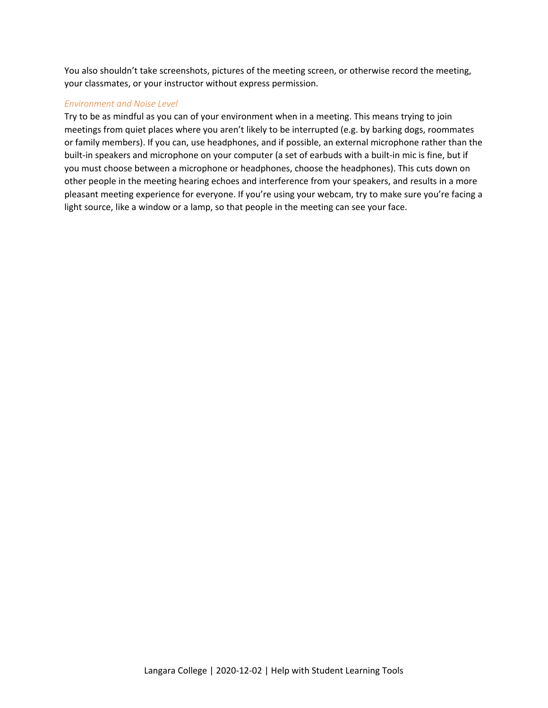You also shouldn't take screenshots, pictures of the meeting screen, or otherwise record the meeting, your classmates, or your instructor without express permission.

#### *Environment and Noise Level*

Try to be as mindful as you can of your environment when in a meeting. This means trying to join meetings from quiet places where you aren't likely to be interrupted (e.g. by barking dogs, roommates or family members). If you can, use headphones, and if possible, an external microphone rather than the built-in speakers and microphone on your computer (a set of earbuds with a built-in mic is fine, but if you must choose between a microphone or headphones, choose the headphones). This cuts down on other people in the meeting hearing echoes and interference from your speakers, and results in a more pleasant meeting experience for everyone. If you're using your webcam, try to make sure you're facing a light source, like a window or a lamp, so that people in the meeting can see your face.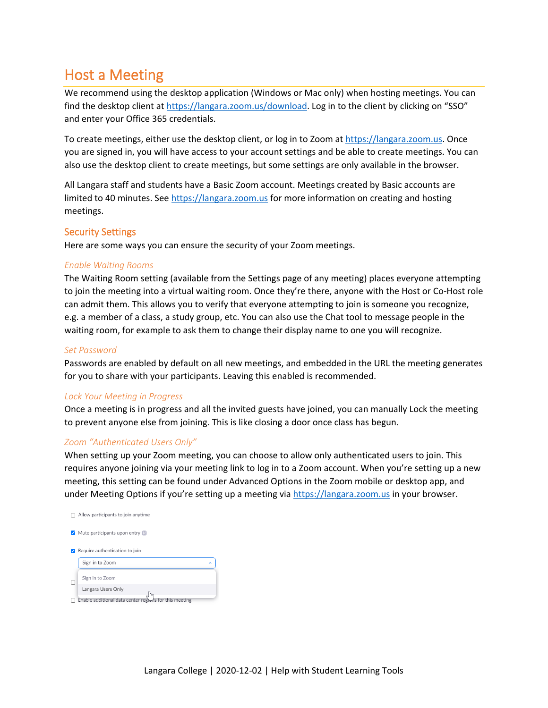## Host a Meeting

We recommend using the desktop application (Windows or Mac only) when hosting meetings. You can find the desktop client at [https://langara.zoom.us/download.](https://langara.zoom.us/download) Log in to the client by clicking on "SSO" and enter your Office 365 credentials.

To create meetings, either use the desktop client, or log in to Zoom at [https://langara.zoom.us.](https://langara.zoom.us/) Once you are signed in, you will have access to your account settings and be able to create meetings. You can also use the desktop client to create meetings, but some settings are only available in the browser.

All Langara staff and students have a Basic Zoom account. Meetings created by Basic accounts are limited to 40 minutes. See [https://langara.zoom.us](https://langara.zoom.us/) for more information on creating and hosting meetings.

### Security Settings

Here are some ways you can ensure the security of your Zoom meetings.

### *Enable Waiting Rooms*

The Waiting Room setting (available from the Settings page of any meeting) places everyone attempting to join the meeting into a virtual waiting room. Once they're there, anyone with the Host or Co-Host role can admit them. This allows you to verify that everyone attempting to join is someone you recognize, e.g. a member of a class, a study group, etc. You can also use the Chat tool to message people in the waiting room, for example to ask them to change their display name to one you will recognize.

#### *Set Password*

Passwords are enabled by default on all new meetings, and embedded in the URL the meeting generates for you to share with your participants. Leaving this enabled is recommended.

#### *Lock Your Meeting in Progress*

Once a meeting is in progress and all the invited guests have joined, you can manually Lock the meeting to prevent anyone else from joining. This is like closing a door once class has begun.

### *Zoom "Authenticated Users Only"*

When setting up your Zoom meeting, you can choose to allow only authenticated users to join. This requires anyone joining via your meeting link to log in to a Zoom account. When you're setting up a new meeting, this setting can be found under Advanced Options in the Zoom mobile or desktop app, and under Meeting Options if you're setting up a meeting via [https://langara.zoom.us](https://langara.zoom.us/) in your browser.

| Allow participants to join anytime                     |  |
|--------------------------------------------------------|--|
| Mute participants upon entry                           |  |
| Require authentication to join                         |  |
| Sign in to Zoom                                        |  |
| Sign in to Zoom                                        |  |
| Langara Users Only<br>lhr                              |  |
| Enable additional data center regions for this meeting |  |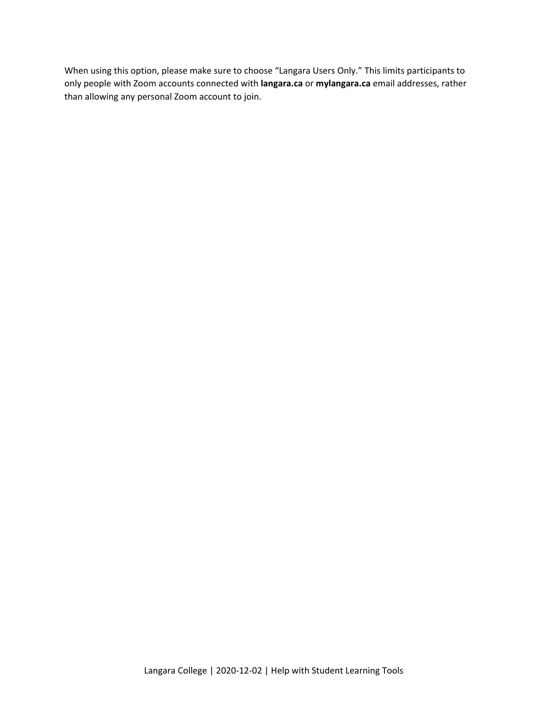When using this option, please make sure to choose "Langara Users Only." This limits participants to only people with Zoom accounts connected with **langara.ca** or **mylangara.ca** email addresses, rather than allowing any personal Zoom account to join.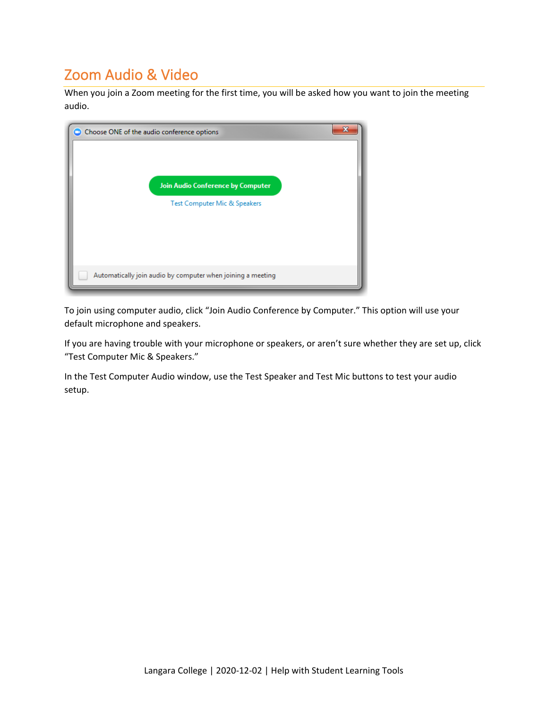## Zoom Audio & Video

When you join a Zoom meeting for the first time, you will be asked how you want to join the meeting audio.



To join using computer audio, click "Join Audio Conference by Computer." This option will use your default microphone and speakers.

If you are having trouble with your microphone or speakers, or aren't sure whether they are set up, click "Test Computer Mic & Speakers."

In the Test Computer Audio window, use the Test Speaker and Test Mic buttons to test your audio setup.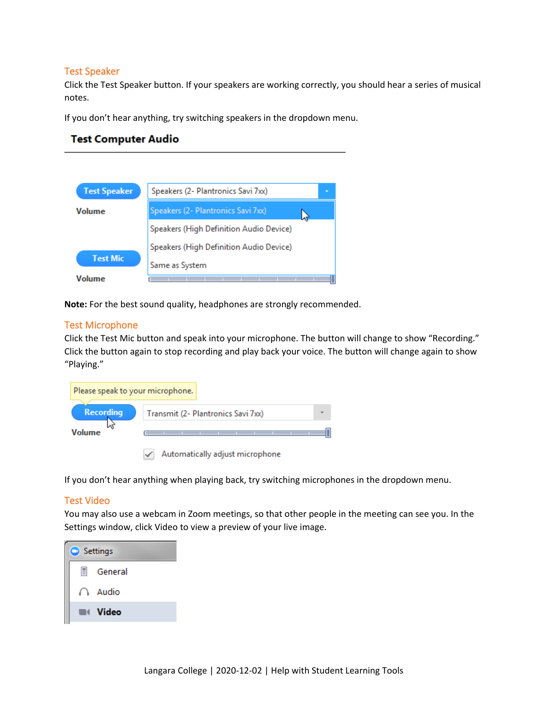### Test Speaker

Click the Test Speaker button. If your speakers are working correctly, you should hear a series of musical notes.

If you don't hear anything, try switching speakers in the dropdown menu.

| <b>Test Computer Audio</b> |                                         |  |  |  |  |  |
|----------------------------|-----------------------------------------|--|--|--|--|--|
|                            |                                         |  |  |  |  |  |
| <b>Test Speaker</b>        | Speakers (2- Plantronics Savi 7xx)      |  |  |  |  |  |
| Volume                     | Speakers (2- Plantronics Savi 7xx)      |  |  |  |  |  |
|                            | Speakers (High Definition Audio Device) |  |  |  |  |  |
|                            | Speakers (High Definition Audio Device) |  |  |  |  |  |
| <b>Test Mic</b>            | Same as System                          |  |  |  |  |  |
| Volume                     |                                         |  |  |  |  |  |

**Note:** For the best sound quality, headphones are strongly recommended.

### Test Microphone

Click the Test Mic button and speak into your microphone. The button will change to show "Recording." Click the button again to stop recording and play back your voice. The button will change again to show "Playing."



 $\checkmark$ 

If you don't hear anything when playing back, try switching microphones in the dropdown menu.

## Test Video

You may also use a webcam in Zoom meetings, so that other people in the meeting can see you. In the Settings window, click Video to view a preview of your live image.

| н<br>General      |
|-------------------|
| Audio<br>77       |
| <b>Next Video</b> |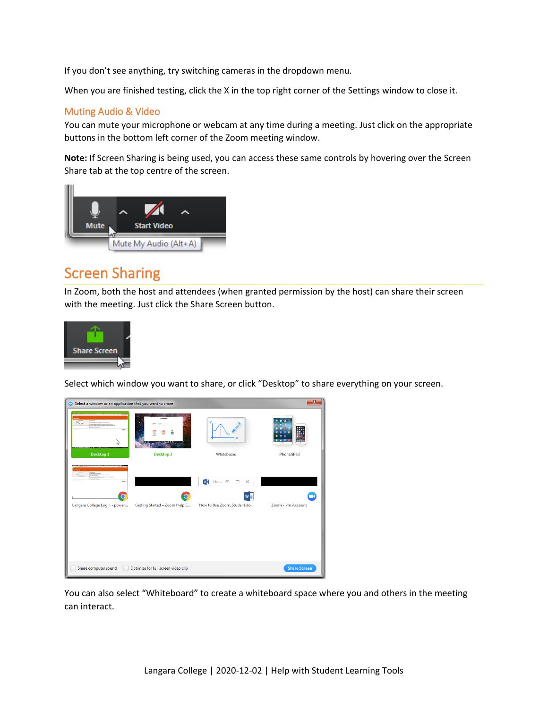If you don't see anything, try switching cameras in the dropdown menu.

When you are finished testing, click the X in the top right corner of the Settings window to close it.

## Muting Audio & Video

You can mute your microphone or webcam at any time during a meeting. Just click on the appropriate buttons in the bottom left corner of the Zoom meeting window.

**Note:** If Screen Sharing is being used, you can access these same controls by hovering over the Screen Share tab at the top centre of the screen.



## Screen Sharing

In Zoom, both the host and attendees (when granted permission by the host) can share their screen with the meeting. Just click the Share Screen button.



Select which window you want to share, or click "Desktop" to share everything on your screen.

| Select a window or an application that you want to share                                    |                                     |                                                                            | $\mathbf{x}$        |
|---------------------------------------------------------------------------------------------|-------------------------------------|----------------------------------------------------------------------------|---------------------|
| <b>Second</b><br><b>COMMERCIAL</b><br><b>STATISTICS</b><br><b>BASIASORY</b><br>$\sim$<br>hř |                                     |                                                                            | $\mathbf{a}$        |
| Desktop 1                                                                                   | <b>Desktop 2</b>                    | Whiteboard                                                                 | iPhone/iPad         |
| me.<br>Langara College Login - power                                                        | Getting Started - Zoom Help C       | w<br>Ho <i>日</i><br>$\square$ $\times$<br>w≣<br>How to Use Zoom_Student.do | Zoom - Pro Account  |
| Share computer sound                                                                        | Optimize for full screen video clip |                                                                            | <b>Share Screen</b> |

You can also select "Whiteboard" to create a whiteboard space where you and others in the meeting can interact.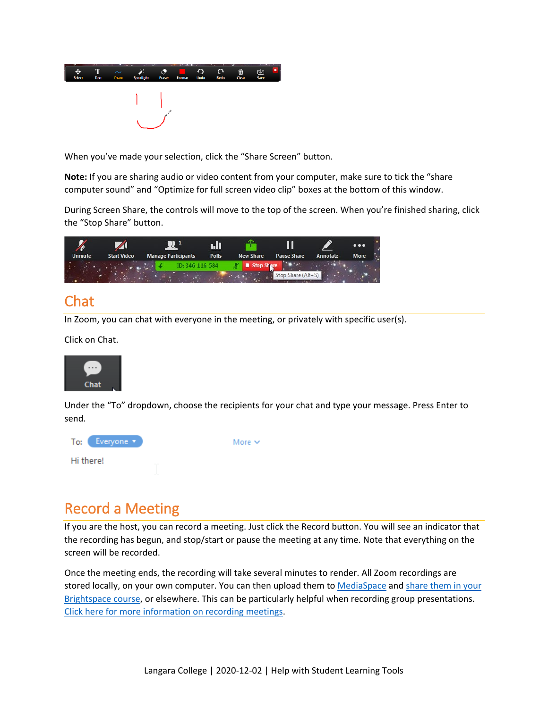

When you've made your selection, click the "Share Screen" button.

**Note:** If you are sharing audio or video content from your computer, make sure to tick the "share computer sound" and "Optimize for full screen video clip" boxes at the bottom of this window.

During Screen Share, the controls will move to the top of the screen. When you're finished sharing, click the "Stop Share" button.



## Chat

In Zoom, you can chat with everyone in the meeting, or privately with specific user(s).

Click on Chat.



Under the "To" dropdown, choose the recipients for your chat and type your message. Press Enter to send.



## Record a Meeting

If you are the host, you can record a meeting. Just click the Record button. You will see an indicator that the recording has begun, and stop/start or pause the meeting at any time. Note that everything on the screen will be recorded.

Once the meeting ends, the recording will take several minutes to render. All Zoom recordings are stored locally, on your own computer. You can then upload them to [MediaSpace](https://iweb.langara.bc.ca/mediaspace) an[d share them in your](https://iweb.langara.bc.ca/lts/mediaspace/how-to-use-mediaspace/#mediaspacesharingmediainbrightspace)  [Brightspace course,](https://iweb.langara.bc.ca/lts/mediaspace/how-to-use-mediaspace/#mediaspacesharingmediainbrightspace) or elsewhere. This can be particularly helpful when recording group presentations. [Click here for more information on recording meetings.](https://support.zoom.us/hc/en-us/articles/201362473-Local-Recording)